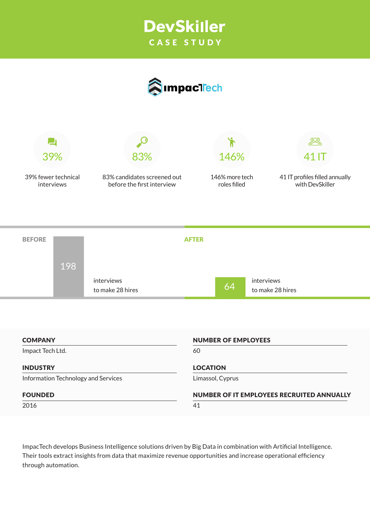# **DevSkiller** CASE STUDY





39% fewer technical interviews

83% candidates screened out before the first interview

146% more tech roles filled



41 IT profiles filled annually with DevSkiller

| <b>BEFORE</b>    |                                     | <b>AFTER</b>               |    |                                           |
|------------------|-------------------------------------|----------------------------|----|-------------------------------------------|
| 198              |                                     |                            |    |                                           |
|                  | interviews<br>to make 28 hires      |                            | 64 | interviews<br>to make 28 hires            |
|                  |                                     |                            |    |                                           |
| <b>COMPANY</b>   |                                     | <b>NUMBER OF EMPLOYEES</b> |    |                                           |
|                  |                                     |                            |    |                                           |
| Impact Tech Ltd. |                                     | 60                         |    |                                           |
| <b>INDUSTRY</b>  |                                     | <b>LOCATION</b>            |    |                                           |
|                  | Information Technology and Services | Limassol, Cyprus           |    |                                           |
| <b>FOUNDED</b>   |                                     |                            |    | NUMBER OF IT EMPLOYEES RECRUITED ANNUALLY |

ImpacTech develops Business Intelligence solutions driven by Big Data in combination with Artificial Intelligence. Their tools extract insights from data that maximize revenue opportunities and increase operational efficiency through automation.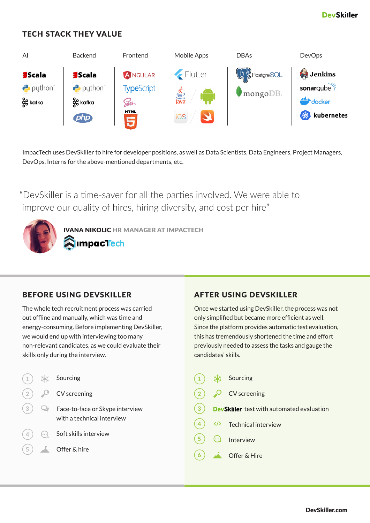### TECH STACK THEY VALUE



ImpacTech uses DevSkiller to hire for developer positions, as well as Data Scientists, Data Engineers, Project Managers, DevOps, Interns for the above-mentioned departments, etc.

"DevSkiller is a time-saver for all the parties involved. We were able to improve our quality of hires, hiring diversity, and cost per hire"

> IVANA NIKOLIC HR MANAGER AT IMPACTECH **impacT<mark>r</mark>ech**

#### BEFORE USING DEVSKILLER **AFTER USING DEVSKILLER**

The whole tech recruitment process was carried out offline and manually, which was time and energy-consuming. Before implementing DevSkiller, we would end up with interviewing too many non-relevant candidates, as we could evaluate their skills only during the interview.

| (1) |            | Sourcing                                                      |                |
|-----|------------|---------------------------------------------------------------|----------------|
| (2) |            | CV screening                                                  |                |
| (3) | رب         | Face-to-face or Skype interview<br>with a technical interview | $\overline{3}$ |
|     | $(\cdots)$ | Soft skills interview                                         |                |
| (5) |            | Offer & hire                                                  |                |

Once we started using DevSkiller, the process was not only simplified but became more efficient as well. Since the platform provides automatic test evaluation, this has tremendously shortened the time and effort previously needed to assess the tasks and gauge the candidates' skills.

| $\vert \mathbf{1} \vert$ | Sourcing                                         |
|--------------------------|--------------------------------------------------|
| (2)                      | $O$ CV screening                                 |
| (3)                      | <b>DevSkiller</b> test with automated evaluation |
| $\left  4 \right\rangle$ | Technical interview                              |
| (5) ලැ                   | Interview                                        |
| (6)                      | Offer & Hire                                     |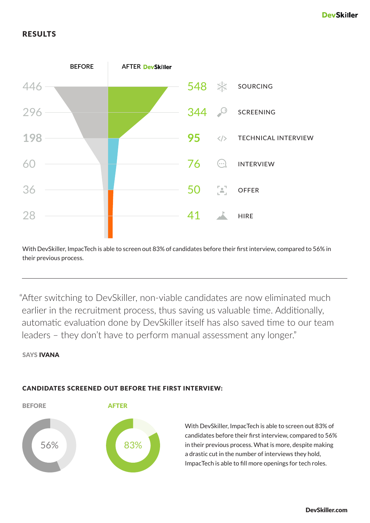### RESULTS



With DevSkiller, ImpacTech is able to screen out 83% of candidates before their first interview, compared to 56% in their previous process.

"After switching to DevSkiller, non-viable candidates are now eliminated much earlier in the recruitment process, thus saving us valuable time. Additionally, automatic evaluation done by DevSkiller itself has also saved time to our team leaders – they don't have to perform manual assessment any longer."

SAYS IVANA



#### CANDIDATES SCREENED OUT BEFORE THE FIRST INTERVIEW:

With DevSkiller, ImpacTech is able to screen out 83% of candidates before their first interview, compared to 56% in their previous process. What is more, despite making a drastic cut in the number of interviews they hold, ImpacTech is able to fill more openings for tech roles.